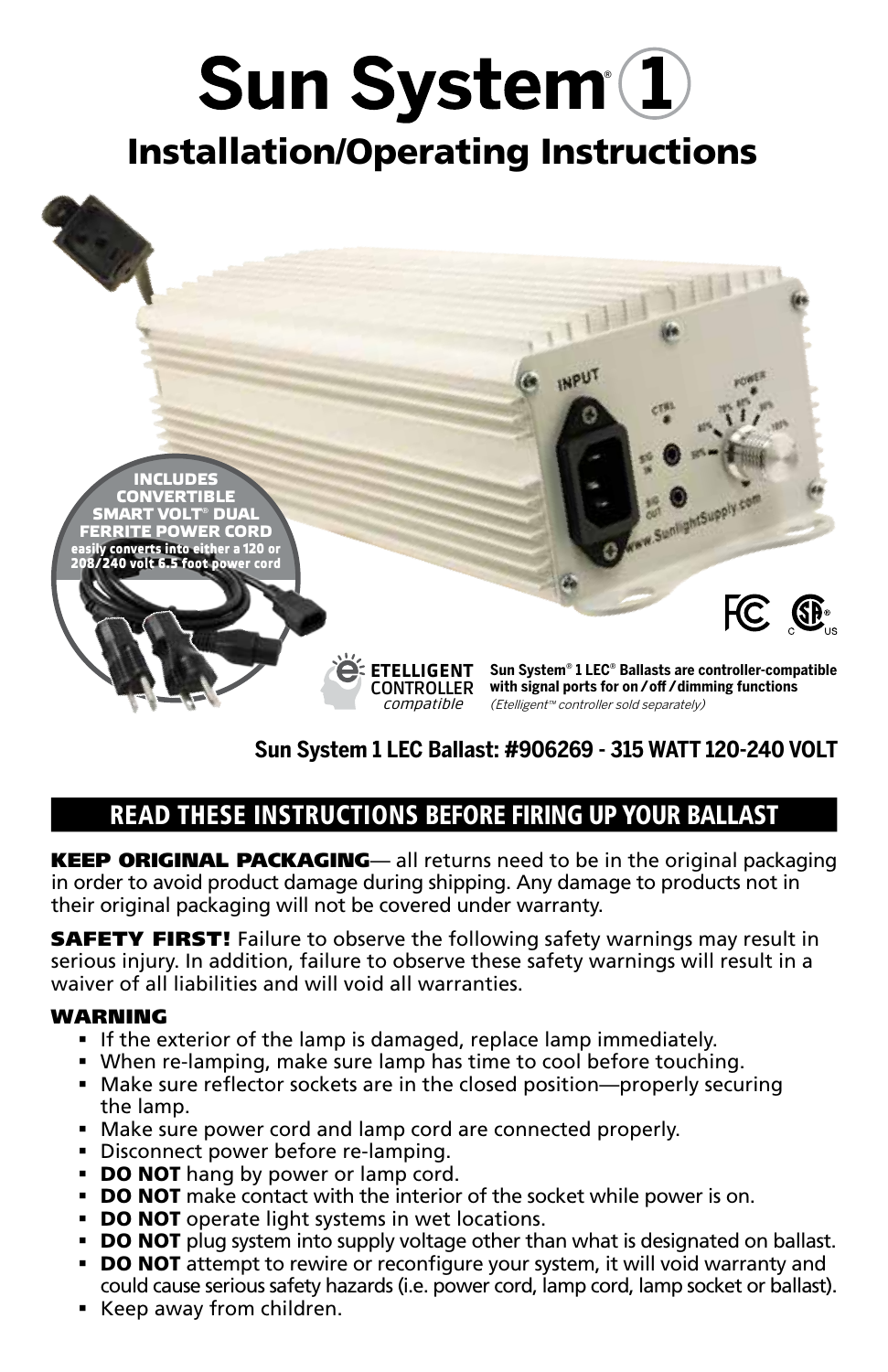# Sun System<sup>(1)</sup>

# Installation/Operating Instructions



### **Sun System 1 LEC Ballast: #906269 - 315 WATT 120-240 VOLT**

## READ THESE INSTRUCTIONS BEFORE FIRING UP YOUR BALLAST

KEEP ORIGINAL PACKAGING— all returns need to be in the original packaging in order to avoid product damage during shipping. Any damage to products not in their original packaging will not be covered under warranty.

**SAFETY FIRST!** Failure to observe the following safety warnings may result in serious injury. In addition, failure to observe these safety warnings will result in a waiver of all liabilities and will void all warranties.

#### **WARNING**

- If the exterior of the lamp is damaged, replace lamp immediately.
- When re-lamping, make sure lamp has time to cool before touching.
- Make sure reflector sockets are in the closed position—properly securing the lamp.
- Make sure power cord and lamp cord are connected properly.
- **Disconnect power before re-lamping.**
- **DO NOT** hang by power or lamp cord.
- **DO NOT** make contact with the interior of the socket while power is on.
- **DO NOT** operate light systems in wet locations.
- **DO NOT** plug system into supply voltage other than what is designated on ballast.
- **DO NOT** attempt to rewire or reconfigure your system, it will void warranty and could cause serious safety hazards (i.e. power cord, lamp cord, lamp socket or ballast).
- Keep away from children.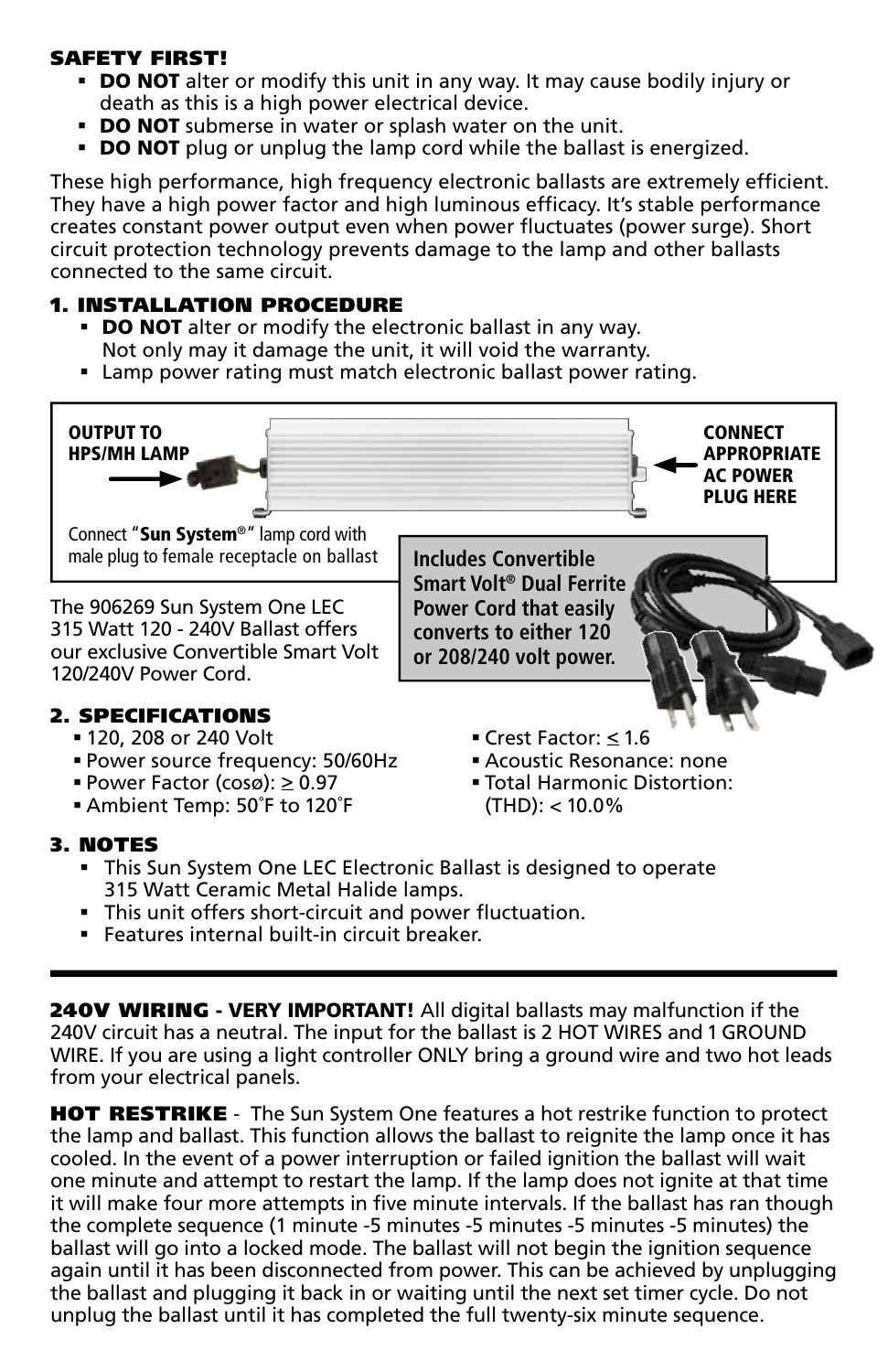#### SAFETY FIRST!

- **DO NOT** alter or modify this unit in any way. It may cause bodily injury or death as this is a high power electrical device.
- **DO NOT** submerse in water or splash water on the unit.
- **DO NOT** plug or unplug the lamp cord while the ballast is energized.

These high performance, high frequency electronic ballasts are extremely efficient. They have a high power factor and high luminous efficacy. It's stable performance creates constant power output even when power fluctuates (power surge). Short circuit protection technology prevents damage to the lamp and other ballasts connected to the same circuit.

#### 1. INSTALLATION PROCEDURE

- **DO NOT** alter or modify the electronic ballast in any way. Not only may it damage the unit, it will void the warranty.
- Lamp power rating must match electronic ballast power rating.



- Power Factor (cosø):  $\geq 0.97$
- Ambient Temp: 50˚F to 120˚F
- Total Harmonic Distortion: (THD): < 10.0%

#### 3. NOTES

- This Sun System One LEC Electronic Ballast is designed to operate 315 Watt Ceramic Metal Halide lamps.
- This unit offers short-circuit and power fluctuation.
- Features internal built-in circuit breaker.

240V WIRING - VERY IMPORTANT! All digital ballasts may malfunction if the 240V circuit has a neutral. The input for the ballast is 2 HOT WIRES and 1 GROUND WIRE. If you are using a light controller ONLY bring a ground wire and two hot leads from your electrical panels.

**HOT RESTRIKE** - The Sun System One features a hot restrike function to protect the lamp and ballast. This function allows the ballast to reignite the lamp once it has cooled. In the event of a power interruption or failed ignition the ballast will wait one minute and attempt to restart the lamp. If the lamp does not ignite at that time it will make four more attempts in five minute intervals. If the ballast has ran though the complete sequence (1 minute -5 minutes -5 minutes -5 minutes -5 minutes) the ballast will go into a locked mode. The ballast will not begin the ignition sequence again until it has been disconnected from power. This can be achieved by unplugging the ballast and plugging it back in or waiting until the next set timer cycle. Do not unplug the ballast until it has completed the full twenty-six minute sequence.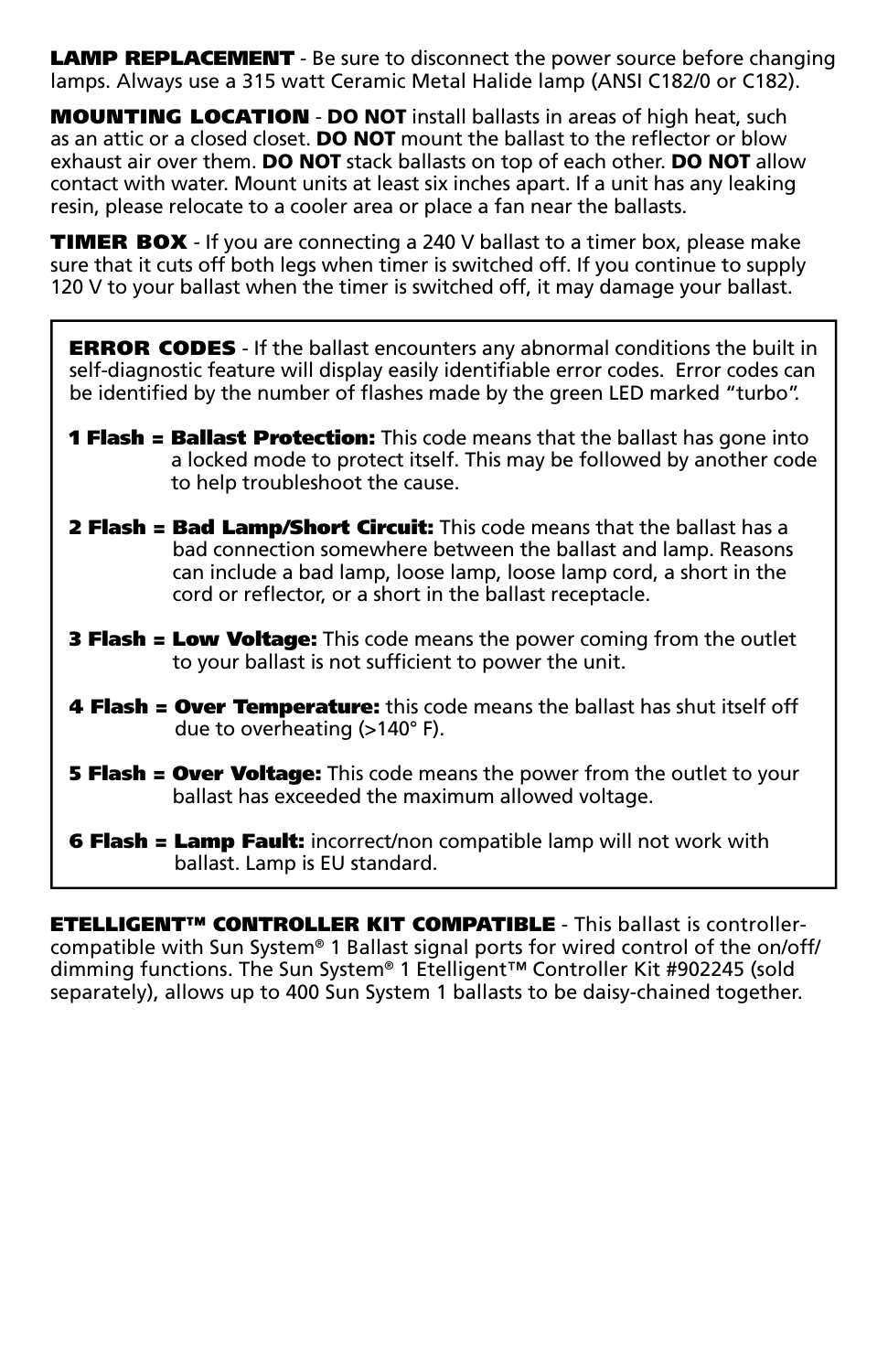**LAMP REPLACEMENT** - Be sure to disconnect the power source before changing lamps. Always use a 315 watt Ceramic Metal Halide lamp (ANSI C182/0 or C182).

MOUNTING LOCATION - DO NOT install ballasts in areas of high heat, such as an attic or a closed closet. **DO NOT** mount the ballast to the reflector or blow exhaust air over them. **DO NOT** stack ballasts on top of each other. **DO NOT** allow contact with water. Mount units at least six inches apart. If a unit has any leaking resin, please relocate to a cooler area or place a fan near the ballasts.

TIMER BOX - If you are connecting a 240 V ballast to a timer box, please make sure that it cuts off both legs when timer is switched off. If you continue to supply 120 V to your ballast when the timer is switched off, it may damage your ballast.

**ERROR CODES** - If the ballast encounters any abnormal conditions the built in self-diagnostic feature will display easily identifiable error codes. Error codes can be identified by the number of flashes made by the green LED marked "turbo".

- **1 Flash = Ballast Protection:** This code means that the ballast has gone into a locked mode to protect itself. This may be followed by another code to help troubleshoot the cause.
- **2 Flash = Bad Lamp/Short Circuit:** This code means that the ballast has a bad connection somewhere between the ballast and lamp. Reasons can include a bad lamp, loose lamp, loose lamp cord, a short in the cord or reflector, or a short in the ballast receptacle.
- **3 Flash = Low Voltage:** This code means the power coming from the outlet to your ballast is not sufficient to power the unit.
- 4 Flash = Over Temperature: this code means the ballast has shut itself off due to overheating (>140° F).
- **5 Flash = Over Voltage:** This code means the power from the outlet to your ballast has exceeded the maximum allowed voltage.
- **6 Flash = Lamp Fault:** incorrect/non compatible lamp will not work with ballast. Lamp is EU standard.

**ETELLIGENT™ CONTROLLER KIT COMPATIBLE** - This ballast is controllercompatible with Sun System® 1 Ballast signal ports for wired control of the on/off/ dimming functions. The Sun System® 1 Etelligent™ Controller Kit #902245 (sold separately), allows up to 400 Sun System 1 ballasts to be daisy-chained together.